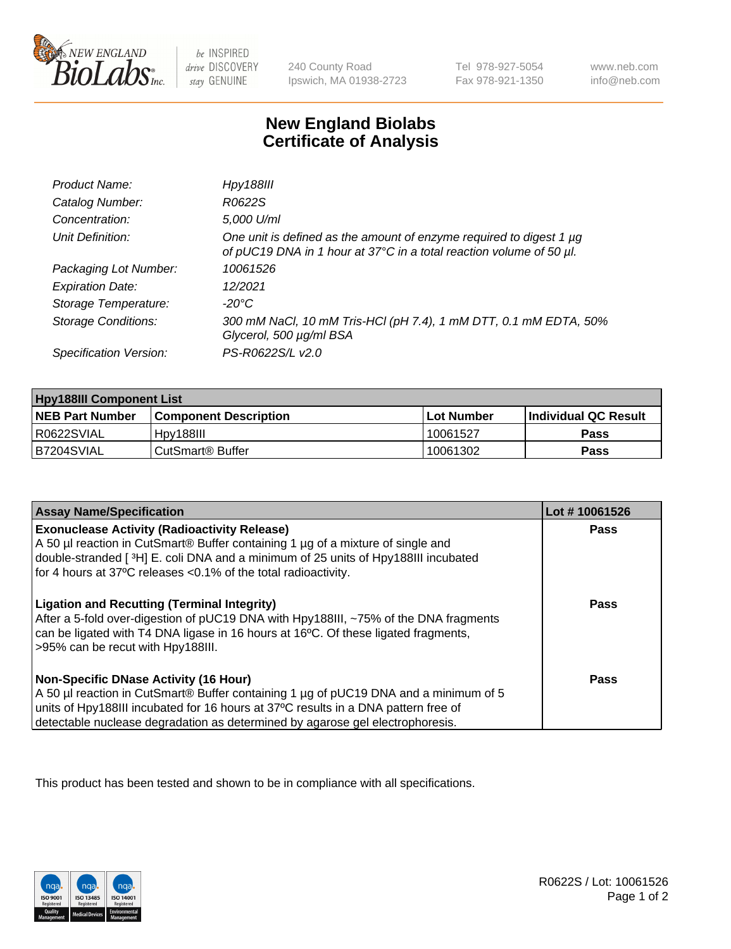

 $be$  INSPIRED drive DISCOVERY stay GENUINE

240 County Road Ipswich, MA 01938-2723 Tel 978-927-5054 Fax 978-921-1350 www.neb.com info@neb.com

## **New England Biolabs Certificate of Analysis**

| Product Name:              | <b>Hpy188III</b>                                                                                                                                |
|----------------------------|-------------------------------------------------------------------------------------------------------------------------------------------------|
| Catalog Number:            | R0622S                                                                                                                                          |
| Concentration:             | 5,000 U/ml                                                                                                                                      |
| Unit Definition:           | One unit is defined as the amount of enzyme required to digest 1 $\mu$ g<br>of pUC19 DNA in 1 hour at 37°C in a total reaction volume of 50 µl. |
| Packaging Lot Number:      | 10061526                                                                                                                                        |
| <b>Expiration Date:</b>    | 12/2021                                                                                                                                         |
| Storage Temperature:       | $-20^{\circ}$ C                                                                                                                                 |
| <b>Storage Conditions:</b> | 300 mM NaCl, 10 mM Tris-HCl (pH 7.4), 1 mM DTT, 0.1 mM EDTA, 50%<br>Glycerol, 500 µg/ml BSA                                                     |
| Specification Version:     | PS-R0622S/L v2.0                                                                                                                                |

| <b>Hpy188III Component List</b> |                              |            |                             |  |
|---------------------------------|------------------------------|------------|-----------------------------|--|
| <b>NEB Part Number</b>          | <b>Component Description</b> | Lot Number | <b>Individual QC Result</b> |  |
| I R0622SVIAL                    | Hov188III                    | 10061527   | Pass                        |  |
| IB7204SVIAL                     | ⊧CutSmart® Buffer            | 10061302   | Pass                        |  |

| <b>Assay Name/Specification</b>                                                                                                                                                                                                                                                                             | Lot #10061526 |
|-------------------------------------------------------------------------------------------------------------------------------------------------------------------------------------------------------------------------------------------------------------------------------------------------------------|---------------|
| <b>Exonuclease Activity (Radioactivity Release)</b><br>A 50 µl reaction in CutSmart® Buffer containing 1 µg of a mixture of single and<br>double-stranded [3H] E. coli DNA and a minimum of 25 units of Hpy188III incubated<br>for 4 hours at 37°C releases <0.1% of the total radioactivity.               | Pass          |
| <b>Ligation and Recutting (Terminal Integrity)</b><br>After a 5-fold over-digestion of pUC19 DNA with Hpy188III, ~75% of the DNA fragments<br>can be ligated with T4 DNA ligase in 16 hours at 16°C. Of these ligated fragments,<br>>95% can be recut with Hpy188III.                                       | Pass          |
| <b>Non-Specific DNase Activity (16 Hour)</b><br>A 50 µl reaction in CutSmart® Buffer containing 1 µg of pUC19 DNA and a minimum of 5<br>units of Hpy188III incubated for 16 hours at 37°C results in a DNA pattern free of<br>detectable nuclease degradation as determined by agarose gel electrophoresis. | <b>Pass</b>   |

This product has been tested and shown to be in compliance with all specifications.